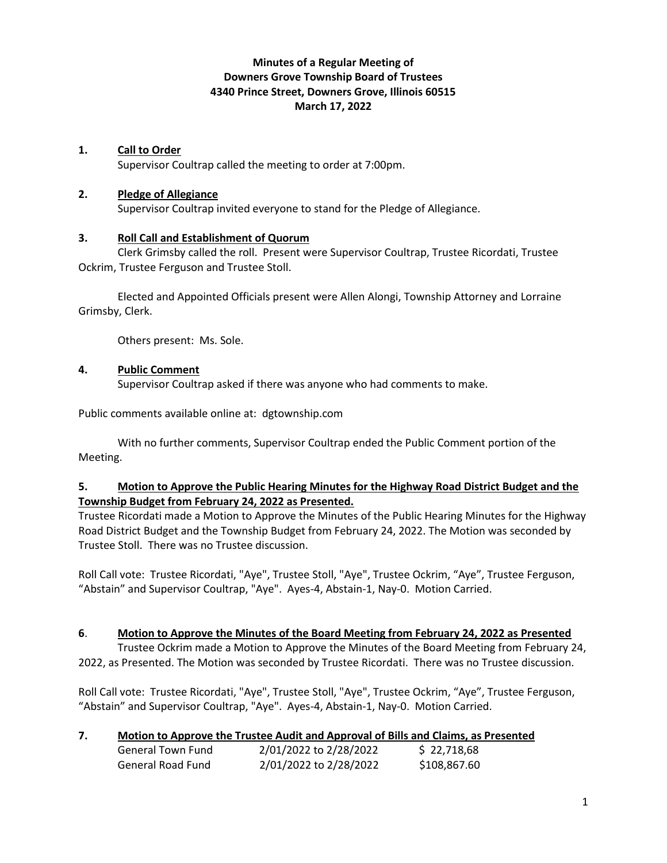# **Minutes of a Regular Meeting of Downers Grove Township Board of Trustees 4340 Prince Street, Downers Grove, Illinois 60515 March 17, 2022**

### **1. Call to Order**

Supervisor Coultrap called the meeting to order at 7:00pm.

#### **2. Pledge of Allegiance**

Supervisor Coultrap invited everyone to stand for the Pledge of Allegiance.

### **3. Roll Call and Establishment of Quorum**

Clerk Grimsby called the roll. Present were Supervisor Coultrap, Trustee Ricordati, Trustee Ockrim, Trustee Ferguson and Trustee Stoll.

Elected and Appointed Officials present were Allen Alongi, Township Attorney and Lorraine Grimsby, Clerk.

Others present: Ms. Sole.

### **4. Public Comment**

Supervisor Coultrap asked if there was anyone who had comments to make.

Public comments available online at: dgtownship.com

With no further comments, Supervisor Coultrap ended the Public Comment portion of the Meeting.

### **5. Motion to Approve the Public Hearing Minutes for the Highway Road District Budget and the Township Budget from February 24, 2022 as Presented.**

Trustee Ricordati made a Motion to Approve the Minutes of the Public Hearing Minutes for the Highway Road District Budget and the Township Budget from February 24, 2022. The Motion was seconded by Trustee Stoll. There was no Trustee discussion.

Roll Call vote: Trustee Ricordati, "Aye", Trustee Stoll, "Aye", Trustee Ockrim, "Aye", Trustee Ferguson, "Abstain" and Supervisor Coultrap, "Aye". Ayes-4, Abstain-1, Nay-0. Motion Carried.

#### **6**. **Motion to Approve the Minutes of the Board Meeting from February 24, 2022 as Presented**

Trustee Ockrim made a Motion to Approve the Minutes of the Board Meeting from February 24, 2022, as Presented. The Motion was seconded by Trustee Ricordati. There was no Trustee discussion.

Roll Call vote: Trustee Ricordati, "Aye", Trustee Stoll, "Aye", Trustee Ockrim, "Aye", Trustee Ferguson, "Abstain" and Supervisor Coultrap, "Aye". Ayes-4, Abstain-1, Nay-0. Motion Carried.

|  |  | Motion to Approve the Trustee Audit and Approval of Bills and Claims, as Presented |
|--|--|------------------------------------------------------------------------------------|
|  |  |                                                                                    |

| General Town Fund | 2/01/2022 to 2/28/2022 | \$22,718,68  |
|-------------------|------------------------|--------------|
| General Road Fund | 2/01/2022 to 2/28/2022 | \$108,867.60 |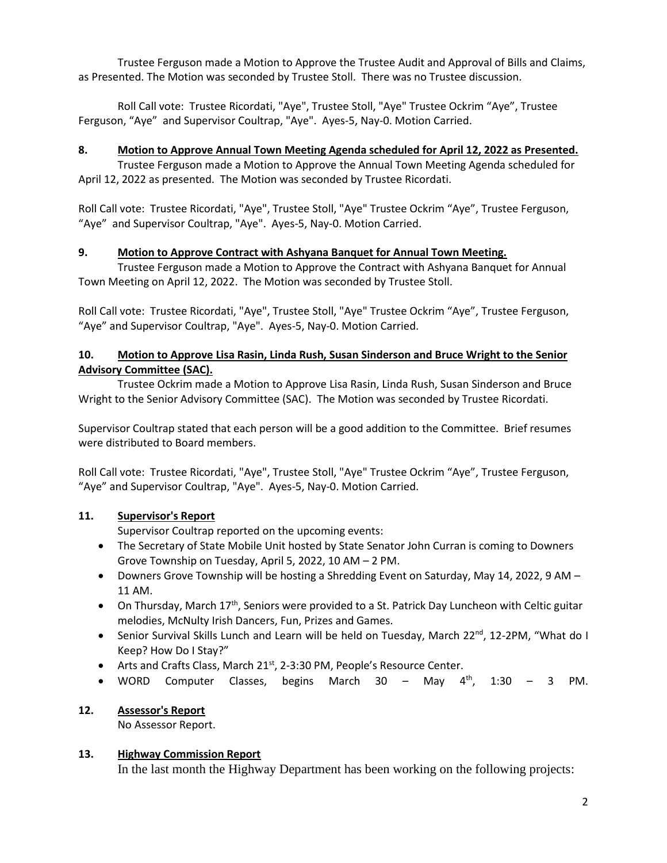Trustee Ferguson made a Motion to Approve the Trustee Audit and Approval of Bills and Claims, as Presented. The Motion was seconded by Trustee Stoll. There was no Trustee discussion.

Roll Call vote: Trustee Ricordati, "Aye", Trustee Stoll, "Aye" Trustee Ockrim "Aye", Trustee Ferguson, "Aye" and Supervisor Coultrap, "Aye". Ayes-5, Nay-0. Motion Carried.

### **8. Motion to Approve Annual Town Meeting Agenda scheduled for April 12, 2022 as Presented.**

Trustee Ferguson made a Motion to Approve the Annual Town Meeting Agenda scheduled for April 12, 2022 as presented. The Motion was seconded by Trustee Ricordati.

Roll Call vote: Trustee Ricordati, "Aye", Trustee Stoll, "Aye" Trustee Ockrim "Aye", Trustee Ferguson, "Aye" and Supervisor Coultrap, "Aye". Ayes-5, Nay-0. Motion Carried.

### **9. Motion to Approve Contract with Ashyana Banquet for Annual Town Meeting.**

Trustee Ferguson made a Motion to Approve the Contract with Ashyana Banquet for Annual Town Meeting on April 12, 2022. The Motion was seconded by Trustee Stoll.

Roll Call vote: Trustee Ricordati, "Aye", Trustee Stoll, "Aye" Trustee Ockrim "Aye", Trustee Ferguson, "Aye" and Supervisor Coultrap, "Aye". Ayes-5, Nay-0. Motion Carried.

### **10. Motion to Approve Lisa Rasin, Linda Rush, Susan Sinderson and Bruce Wright to the Senior Advisory Committee (SAC).**

Trustee Ockrim made a Motion to Approve Lisa Rasin, Linda Rush, Susan Sinderson and Bruce Wright to the Senior Advisory Committee (SAC). The Motion was seconded by Trustee Ricordati.

Supervisor Coultrap stated that each person will be a good addition to the Committee. Brief resumes were distributed to Board members.

Roll Call vote: Trustee Ricordati, "Aye", Trustee Stoll, "Aye" Trustee Ockrim "Aye", Trustee Ferguson, "Aye" and Supervisor Coultrap, "Aye". Ayes-5, Nay-0. Motion Carried.

## **11. Supervisor's Report**

Supervisor Coultrap reported on the upcoming events:

- The Secretary of State Mobile Unit hosted by State Senator John Curran is coming to Downers Grove Township on Tuesday, April 5, 2022, 10 AM – 2 PM.
- Downers Grove Township will be hosting a Shredding Event on Saturday, May 14, 2022, 9 AM -11 AM.
- On Thursday, March  $17<sup>th</sup>$ , Seniors were provided to a St. Patrick Day Luncheon with Celtic guitar melodies, McNulty Irish Dancers, Fun, Prizes and Games.
- Senior Survival Skills Lunch and Learn will be held on Tuesday, March 22<sup>nd</sup>, 12-2PM, "What do I Keep? How Do I Stay?"
- Arts and Crafts Class, March 21<sup>st</sup>, 2-3:30 PM, People's Resource Center.
- WORD Computer Classes, begins March  $30 -$  May  $4^{th}$ , 1:30 3 PM.

#### **12. Assessor's Report**

No Assessor Report.

#### **13. Highway Commission Report**

In the last month the Highway Department has been working on the following projects: